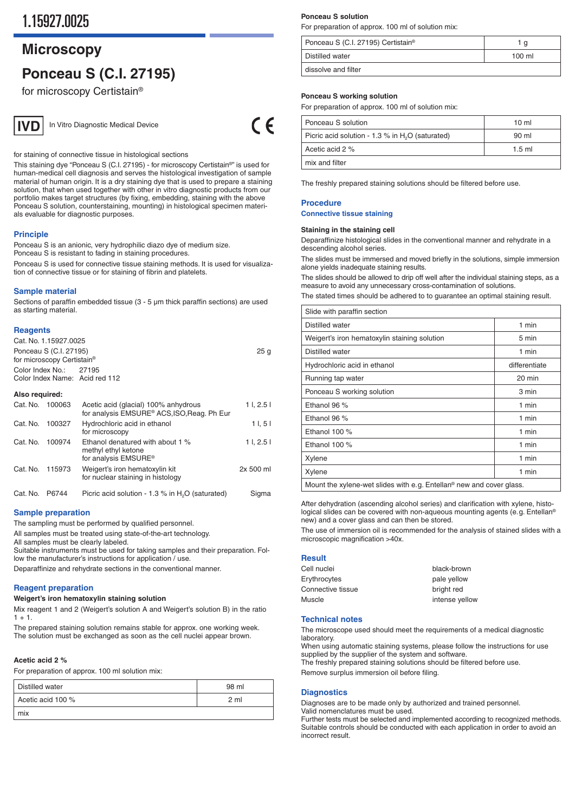## **Microscopy**

# **Ponceau S (C.I. 27195)**

for microscopy Certistain®



In Vitro Diagnostic Medical Device

 $\epsilon$ 

for staining of connective tissue in histological sections

This staining dye "Ponceau S (C.I. 27195) - for microscopy Certistain®" is used for human-medical cell diagnosis and serves the histological investigation of sample material of human origin. It is a dry staining dye that is used to prepare a staining solution, that when used together with other in vitro diagnostic products from our portfolio makes target structures (by fixing, embedding, staining with the above Ponceau S solution, counterstaining, mounting) in histological specimen materials evaluable for diagnostic purposes.

#### **Principle**

Ponceau S is an anionic, very hydrophilic diazo dye of medium size. Ponceau S is resistant to fading in staining procedures.

Ponceau S is used for connective tissue staining methods. It is used for visualization of connective tissue or for staining of fibrin and platelets.

#### **Sample material**

Sections of paraffin embedded tissue (3 - 5 µm thick paraffin sections) are used as starting material.

#### **Reagents**

| Cat. No. 1.15927.0025                                            |  |      |
|------------------------------------------------------------------|--|------|
| Ponceau S (C.I. 27195)<br>for microscopy Certistain <sup>®</sup> |  | 25 g |
| Color Index No.: 27195<br>Color Index Name: Acid red 112         |  |      |

#### **Also required:**

| Cat. No. | 100063 | Acetic acid (glacial) 100% anhydrous<br>for analysis EMSURE® ACS, ISO, Reag. Ph Eur | 11, 2.51  |
|----------|--------|-------------------------------------------------------------------------------------|-----------|
| Cat. No. | 100327 | Hydrochloric acid in ethanol<br>for microscopy                                      | 11, 51    |
| Cat. No. | 100974 | Ethanol denatured with about 1 %<br>methyl ethyl ketone<br>for analysis EMSURE®     | 11, 2.51  |
| Cat. No. | 115973 | Weigert's iron hematoxylin kit<br>for nuclear staining in histology                 | 2x 500 ml |

Cat. No. P6744 Picric acid solution - 1.3 % in H<sub>2</sub>O (saturated) Sigma

#### **Sample preparation**

The sampling must be performed by qualified personnel.

All samples must be treated using state-of-the-art technology.

All samples must be clearly labeled.

Suitable instruments must be used for taking samples and their preparation. Follow the manufacturer's instructions for application / use.

Deparaffinize and rehydrate sections in the conventional manner.

#### **Reagent preparation**

#### **Weigert's iron hematoxylin staining solution**

Mix reagent 1 and 2 (Weigert's solution A and Weigert's solution B) in the ratio  $1 + 1.$ 

The prepared staining solution remains stable for approx. one working week. The solution must be exchanged as soon as the cell nuclei appear brown.

#### **Acetic acid 2 %**

For preparation of approx. 100 ml solution mix:

| Distilled water   | 98 ml          |
|-------------------|----------------|
| Acetic acid 100 % | 2 <sub>m</sub> |
| mix               |                |

#### **Ponceau S solution**

For preparation of approx. 100 ml of solution mix:

| Ponceau S (C.I. 27195) Certistain <sup>®</sup> | Ιq     |
|------------------------------------------------|--------|
| Distilled water                                | 100 ml |
| dissolve and filter                            |        |

## **Ponceau S working solution**

For preparation of approx. 100 ml of solution mix:

| Ponceau S solution                                           | 10 <sub>m</sub> |
|--------------------------------------------------------------|-----------------|
| Picric acid solution - 1.3 % in H <sub>2</sub> O (saturated) | 90 ml           |
| Acetic acid 2 %                                              | $1.5$ ml        |
| mix and filter                                               |                 |

The freshly prepared staining solutions should be filtered before use.

### **Procedure**

#### **Connective tissue staining**

#### **Staining in the staining cell**

Deparaffinize histological slides in the conventional manner and rehydrate in a descending alcohol series.

The slides must be immersed and moved briefly in the solutions, simple immersion alone yields inadequate staining results.

The slides should be allowed to drip off well after the individual staining steps, as a measure to avoid any unnecessary cross-contamination of solutions.

| The stated times should be adhered to to guarantee an optimal staining result. |  |  |
|--------------------------------------------------------------------------------|--|--|
|--------------------------------------------------------------------------------|--|--|

| Slide with paraffin section                                                                     |                  |  |  |
|-------------------------------------------------------------------------------------------------|------------------|--|--|
| Distilled water                                                                                 | 1 min            |  |  |
| Weigert's iron hematoxylin staining solution                                                    | 5 min            |  |  |
| Distilled water                                                                                 | 1 min            |  |  |
| Hydrochloric acid in ethanol                                                                    | differentiate    |  |  |
| Running tap water                                                                               | $20 \text{ min}$ |  |  |
| Ponceau S working solution                                                                      | 3 min            |  |  |
| Ethanol 96 %                                                                                    | 1 min            |  |  |
| Ethanol 96 %                                                                                    | 1 min            |  |  |
| Ethanol 100 %                                                                                   | 1 min            |  |  |
| Ethanol 100 %                                                                                   | 1 min            |  |  |
| Xylene                                                                                          | 1 min            |  |  |
| Xylene                                                                                          | 1 min            |  |  |
| Mount the xylene-wet slides with e.g. $\overline{F}$ relation $\frac{1}{2}$ new and cover glass |                  |  |  |

Mount the xylene-wet slides with e. g. Entellan® new and cover glass.

After dehydration (ascending alcohol series) and clarification with xylene, histological slides can be covered with non-aqueous mounting agents (e.g. Entellan® new) and a cover glass and can then be stored.

The use of immersion oil is recommended for the analysis of stained slides with a microscopic magnification >40x.

#### **Result**

| Cell nuclei       | black-brown    |
|-------------------|----------------|
| Erythrocytes      | pale yellow    |
| Connective tissue | bright red     |
| Muscle            | intense yellow |
|                   |                |

#### **Technical notes**

The microscope used should meet the requirements of a medical diagnostic laboratory.

When using automatic staining systems, please follow the instructions for use supplied by the supplier of the system and software.

The freshly prepared staining solutions should be filtered before use.

Remove surplus immersion oil before filing.

#### **Diagnostics**

Diagnoses are to be made only by authorized and trained personnel. Valid nomenclatures must be used.

Further tests must be selected and implemented according to recognized methods. Suitable controls should be conducted with each application in order to avoid an incorrect result.